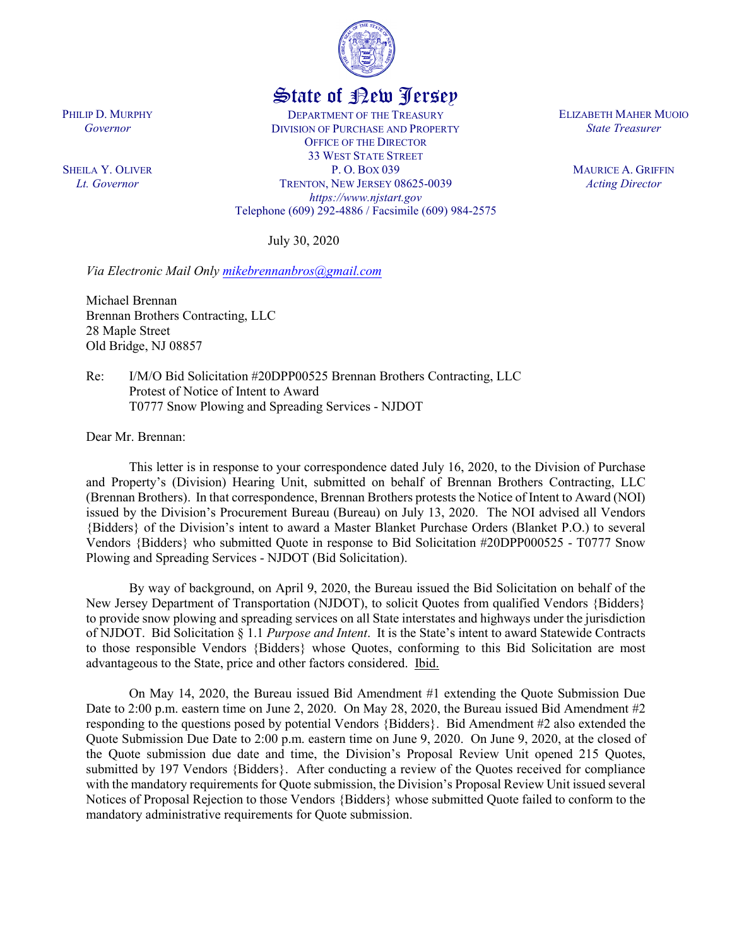

## State of New Jersey

DEPARTMENT OF THE TREASURY DIVISION OF PURCHASE AND PROPERTY OFFICE OF THE DIRECTOR 33 WEST STATE STREET P. O. BOX 039 TRENTON, NEW JERSEY 08625-0039 *https://www.njstart.gov* Telephone (609) 292-4886 / Facsimile (609) 984-2575

July 30, 2020

*Via Electronic Mail Only [mikebrennanbros@gmail.com](mailto:mikebrennanbros@gmail.com)*

Michael Brennan Brennan Brothers Contracting, LLC 28 Maple Street Old Bridge, NJ 08857

Re: I/M/O Bid Solicitation #20DPP00525 Brennan Brothers Contracting, LLC Protest of Notice of Intent to Award T0777 Snow Plowing and Spreading Services - NJDOT

Dear Mr. Brennan:

PHILIP D. MURPHY *Governor*

SHEILA Y. OLIVER *Lt. Governor*

> This letter is in response to your correspondence dated July 16, 2020, to the Division of Purchase and Property's (Division) Hearing Unit, submitted on behalf of Brennan Brothers Contracting, LLC (Brennan Brothers). In that correspondence, Brennan Brothers protests the Notice of Intent to Award (NOI) issued by the Division's Procurement Bureau (Bureau) on July 13, 2020. The NOI advised all Vendors {Bidders} of the Division's intent to award a Master Blanket Purchase Orders (Blanket P.O.) to several Vendors {Bidders} who submitted Quote in response to Bid Solicitation #20DPP000525 - T0777 Snow Plowing and Spreading Services - NJDOT (Bid Solicitation).

> By way of background, on April 9, 2020, the Bureau issued the Bid Solicitation on behalf of the New Jersey Department of Transportation (NJDOT), to solicit Quotes from qualified Vendors {Bidders} to provide snow plowing and spreading services on all State interstates and highways under the jurisdiction of NJDOT. Bid Solicitation § 1.1 *Purpose and Intent*. It is the State's intent to award Statewide Contracts to those responsible Vendors {Bidders} whose Quotes, conforming to this Bid Solicitation are most advantageous to the State, price and other factors considered. Ibid.

> On May 14, 2020, the Bureau issued Bid Amendment #1 extending the Quote Submission Due Date to 2:00 p.m. eastern time on June 2, 2020. On May 28, 2020, the Bureau issued Bid Amendment #2 responding to the questions posed by potential Vendors {Bidders}. Bid Amendment #2 also extended the Quote Submission Due Date to 2:00 p.m. eastern time on June 9, 2020. On June 9, 2020, at the closed of the Quote submission due date and time, the Division's Proposal Review Unit opened 215 Quotes, submitted by 197 Vendors {Bidders}. After conducting a review of the Quotes received for compliance with the mandatory requirements for Quote submission, the Division's Proposal Review Unit issued several Notices of Proposal Rejection to those Vendors {Bidders} whose submitted Quote failed to conform to the mandatory administrative requirements for Quote submission.

ELIZABETH MAHER MUOIO *State Treasurer*

> MAURICE A. GRIFFIN *Acting Director*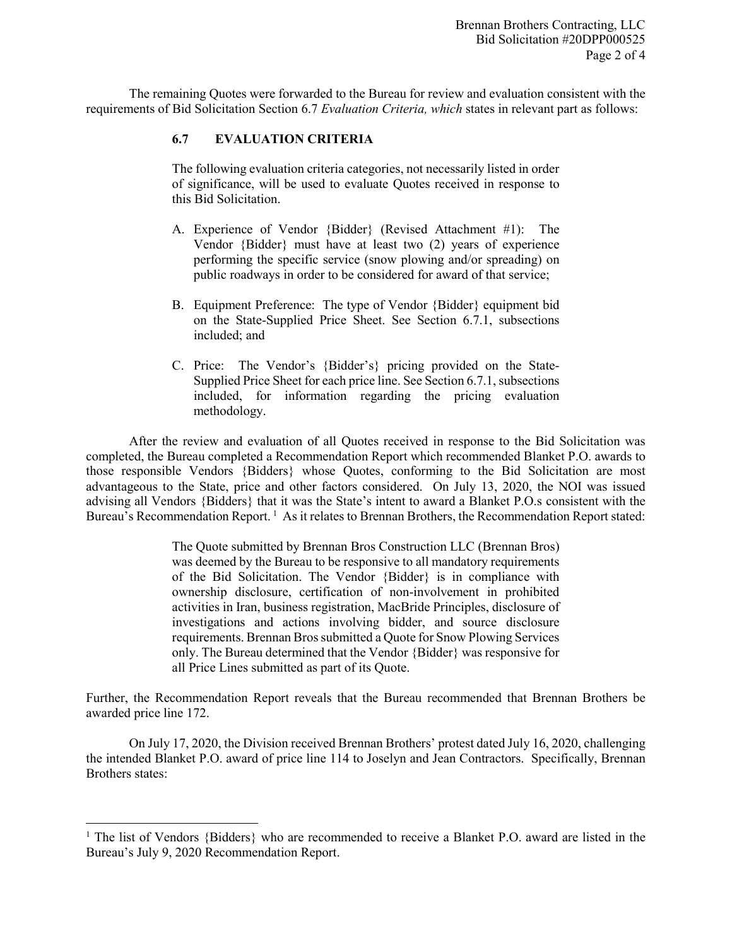The remaining Quotes were forwarded to the Bureau for review and evaluation consistent with the requirements of Bid Solicitation Section 6.7 *Evaluation Criteria, which* states in relevant part as follows:

## **6.7 EVALUATION CRITERIA**

The following evaluation criteria categories, not necessarily listed in order of significance, will be used to evaluate Quotes received in response to this Bid Solicitation.

- A. Experience of Vendor {Bidder} (Revised Attachment #1): The Vendor {Bidder} must have at least two (2) years of experience performing the specific service (snow plowing and/or spreading) on public roadways in order to be considered for award of that service;
- B. Equipment Preference: The type of Vendor {Bidder} equipment bid on the State-Supplied Price Sheet. See Section 6.7.1, subsections included; and
- C. Price: The Vendor's {Bidder's} pricing provided on the State-Supplied Price Sheet for each price line. See Section 6.7.1, subsections included, for information regarding the pricing evaluation methodology.

After the review and evaluation of all Quotes received in response to the Bid Solicitation was completed, the Bureau completed a Recommendation Report which recommended Blanket P.O. awards to those responsible Vendors {Bidders} whose Quotes, conforming to the Bid Solicitation are most advantageous to the State, price and other factors considered. On July 13, 2020, the NOI was issued advising all Vendors {Bidders} that it was the State's intent to award a Blanket P.O.s consistent with the Bureau's Recommendation Report.<sup>[1](#page-1-0)</sup> As it relates to Brennan Brothers, the Recommendation Report stated:

> The Quote submitted by Brennan Bros Construction LLC (Brennan Bros) was deemed by the Bureau to be responsive to all mandatory requirements of the Bid Solicitation. The Vendor {Bidder} is in compliance with ownership disclosure, certification of non-involvement in prohibited activities in Iran, business registration, MacBride Principles, disclosure of investigations and actions involving bidder, and source disclosure requirements. Brennan Bros submitted a Quote for Snow Plowing Services only. The Bureau determined that the Vendor {Bidder} was responsive for all Price Lines submitted as part of its Quote.

Further, the Recommendation Report reveals that the Bureau recommended that Brennan Brothers be awarded price line 172.

On July 17, 2020, the Division received Brennan Brothers' protest dated July 16, 2020, challenging the intended Blanket P.O. award of price line 114 to Joselyn and Jean Contractors. Specifically, Brennan Brothers states:

l

<span id="page-1-0"></span><sup>&</sup>lt;sup>1</sup> The list of Vendors {Bidders} who are recommended to receive a Blanket P.O. award are listed in the Bureau's July 9, 2020 Recommendation Report.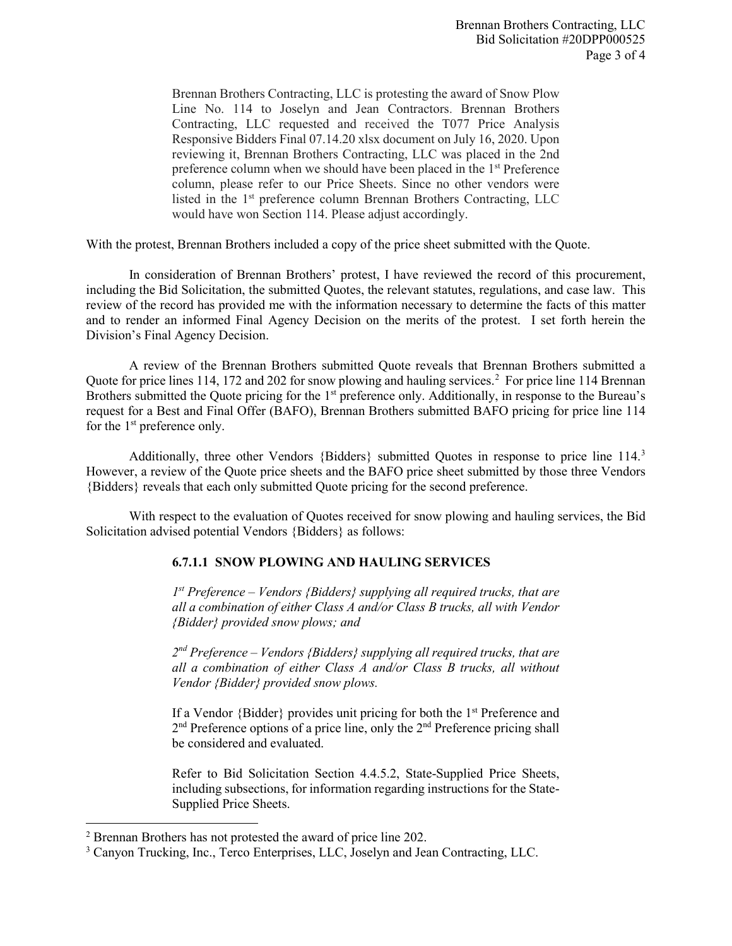Brennan Brothers Contracting, LLC is protesting the award of Snow Plow Line No. 114 to Joselyn and Jean Contractors. Brennan Brothers Contracting, LLC requested and received the T077 Price Analysis Responsive Bidders Final 07.14.20 xlsx document on July 16, 2020. Upon reviewing it, Brennan Brothers Contracting, LLC was placed in the 2nd preference column when we should have been placed in the 1st Preference column, please refer to our Price Sheets. Since no other vendors were listed in the 1<sup>st</sup> preference column Brennan Brothers Contracting, LLC would have won Section 114. Please adjust accordingly.

With the protest, Brennan Brothers included a copy of the price sheet submitted with the Quote.

In consideration of Brennan Brothers' protest, I have reviewed the record of this procurement, including the Bid Solicitation, the submitted Quotes, the relevant statutes, regulations, and case law. This review of the record has provided me with the information necessary to determine the facts of this matter and to render an informed Final Agency Decision on the merits of the protest. I set forth herein the Division's Final Agency Decision.

A review of the Brennan Brothers submitted Quote reveals that Brennan Brothers submitted a Quote for price lines 114, 17[2](#page-2-0) and 202 for snow plowing and hauling services.<sup>2</sup> For price line 114 Brennan Brothers submitted the Quote pricing for the 1<sup>st</sup> preference only. Additionally, in response to the Bureau's request for a Best and Final Offer (BAFO), Brennan Brothers submitted BAFO pricing for price line 114 for the 1<sup>st</sup> preference only.

Additionally, three other Vendors {Bidders} submitted Quotes in response to price line 114.<sup>[3](#page-2-1)</sup> However, a review of the Quote price sheets and the BAFO price sheet submitted by those three Vendors {Bidders} reveals that each only submitted Quote pricing for the second preference.

With respect to the evaluation of Quotes received for snow plowing and hauling services, the Bid Solicitation advised potential Vendors {Bidders} as follows:

## **6.7.1.1 SNOW PLOWING AND HAULING SERVICES**

*1st Preference – Vendors {Bidders} supplying all required trucks, that are all a combination of either Class A and/or Class B trucks, all with Vendor {Bidder} provided snow plows; and*

*2nd Preference – Vendors {Bidders} supplying all required trucks, that are all a combination of either Class A and/or Class B trucks, all without Vendor {Bidder} provided snow plows.*

If a Vendor {Bidder} provides unit pricing for both the 1st Preference and 2<sup>nd</sup> Preference options of a price line, only the 2<sup>nd</sup> Preference pricing shall be considered and evaluated.

Refer to Bid Solicitation Section 4.4.5.2, State-Supplied Price Sheets, including subsections, for information regarding instructions for the State-Supplied Price Sheets.

l

<span id="page-2-0"></span><sup>2</sup> Brennan Brothers has not protested the award of price line 202.

<span id="page-2-1"></span><sup>3</sup> Canyon Trucking, Inc., Terco Enterprises, LLC, Joselyn and Jean Contracting, LLC.